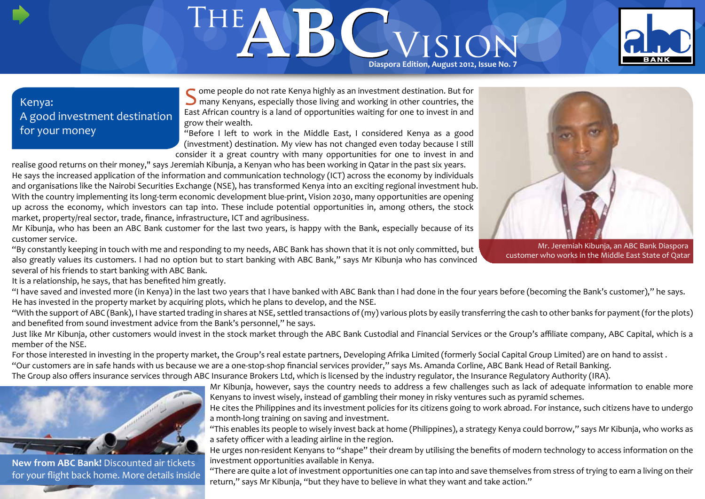# THEA Diaspora Edition, August 2012, ISSUE No. 7



## Kenya: A good investment destination for your money

ome people do not rate Kenya highly as an investment destination. But for **O** many Kenyans, especially those living and working in other countries, the East African country is a land of opportunities waiting for one to invest in and grow their wealth.

"Before I left to work in the Middle East, I considered Kenya as a good (investment) destination. My view has not changed even today because I still consider it a great country with many opportunities for one to invest in and

realise good returns on their money," says Jeremiah Kibunja, a Kenyan who has been working in Qatar in the past six years. He says the increased application of the information and communication technology (ICT) across the economy by individuals and organisations like the Nairobi Securities Exchange (NSE), has transformed Kenya into an exciting regional investment hub. With the country implementing its long-term economic development blue-print, Vision 2030, many opportunities are opening up across the economy, which investors can tap into. These include potential opportunities in, among others, the stock market, property/real sector, trade, finance, infrastructure, ICT and agribusiness.

Mr Kibunja, who has been an ABC Bank customer for the last two years, is happy with the Bank, especially because of its customer service.

"By constantly keeping in touch with me and responding to my needs, ABC Bank has shown that it is not only committed, but also greatly values its customers. I had no option but to start banking with ABC Bank," says Mr Kibunja who has convinced several of his friends to start banking with ABC Bank.

Mr. Jeremiah Kibunja, an ABC Bank Diaspora customer who works in the Middle East State of Qatar

It is a relationship, he says, that has benefited him greatly.

"I have saved and invested more (in Kenya) in the last two years that I have banked with ABC Bank than I had done in the four years before (becoming the Bank's customer)," he says. He has invested in the property market by acquiring plots, which he plans to develop, and the NSE.

"With the support of ABC (Bank), I have started trading in shares at NSE, settled transactions of (my) various plots by easily transferring the cash to other banks for payment (for the plots) and benefited from sound investment advice from the Bank's personnel," he says.

Just like Mr Kibunja, other customers would invest in the stock market through the ABC Bank Custodial and Financial Services or the Group's affiliate company, ABC Capital, which is a member of the NSE.

For those interested in investing in the property market, the Group's real estate partners, Developing Afrika Limited (formerly Social Capital Group Limited) are on hand to assist.

"Our customers are in safe hands with us because we are a one-stop-shop financial services provider," says Ms. Amanda Corline, ABC Bank Head of Retail Banking.

The Group also offers insurance services through ABC Insurance Brokers Ltd, which is licensed by the industry regulator, the Insurance Regulatory Authority (IRA).



**New from ABC Bank!** Discounted air tickets for your flight back home. More details inside Mr Kibunja, however, says the country needs to address a few challenges such as lack of adequate information to enable more Kenyans to invest wisely, instead of gambling their money in risky ventures such as pyramid schemes.

He cites the Philippines and its investment policies for its citizens going to work abroad. For instance, such citizens have to undergo a month-long training on saving and investment.

"This enables its people to wisely invest back at home (Philippines), a strategy Kenya could borrow," says Mr Kibunja, who works as a safety officer with a leading airline in the region.

He urges non-resident Kenyans to "shape" their dream by utilising the benefits of modern technology to access information on the investment opportunities available in Kenya.

"There are quite a lot of investment opportunities one can tap into and save themselves from stress of trying to earn a living on their return," says Mr Kibunja, "but they have to believe in what they want and take action."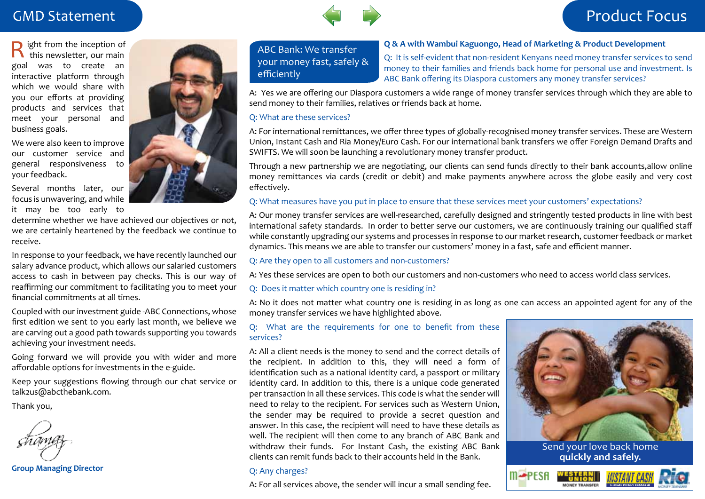# **GMD Statement**



# Product Focus

ight from the inception of  $\mathbf \Gamma$  this newsletter, our main goal was to create an interactive platform through which we would share with you our efforts at providing products and services that meet your personal and business goals.

We were also keen to improve our customer service and general responsiveness to your feedback.

Several months later, our focus is unwavering, and while it may be too early to

determine whether we have achieved our objectives or not, we are certainly heartened by the feedback we continue to receive.

In response to your feedback, we have recently launched our salary advance product, which allows our salaried customers access to cash in between pay checks. This is our way of reaffirming our commitment to facilitating you to meet your financial commitments at all times.

Coupled with our investment guide -ABC Connections, whose first edition we sent to you early last month, we believe we are carving out a good path towards supporting you towards achieving your investment needs.

Going forward we will provide you with wider and more affordable options for investments in the e-guide.

Keep your suggestions flowing through our chat service or talk2us@abcthebank.com.

Thank you,

**Group Managing Director**



ABC Bank: We transfer your money fast, safely & efficiently

**Q & A with Wambui Kaguongo, Head of Marketing & Product Development**

Q: It is self-evident that non-resident Kenyans need money transfer services to send money to their families and friends back home for personal use and investment. Is ABC Bank offering its Diaspora customers any money transfer services?

A: Yes we are offering our Diaspora customers a wide range of money transfer services through which they are able to send money to their families, relatives or friends back at home.

### Q: What are these services?

A: For international remittances, we offer three types of globally-recognised money transfer services. These are Western Union, Instant Cash and Ria Money/Euro Cash. For our international bank transfers we offer Foreign Demand Drafts and SWIFTS. We will soon be launching a revolutionary money transfer product.

Through a new partnership we are negotiating, our clients can send funds directly to their bank accounts,allow online money remittances via cards (credit or debit) and make payments anywhere across the globe easily and very cost effectively.

### Q: What measures have you put in place to ensure that these services meet your customers' expectations?

A: Our money transfer services are well-researched, carefully designed and stringently tested products in line with best international safety standards. In order to better serve our customers, we are continuously training our qualified staff while constantly upgrading our systems and processes in response to our market research, customer feedback or market dynamics. This means we are able to transfer our customers' money in a fast, safe and efficient manner.

### Q: Are they open to all customers and non-customers?

A: Yes these services are open to both our customers and non-customers who need to access world class services.

### Q: Does it matter which country one is residing in?

A: No it does not matter what country one is residing in as long as one can access an appointed agent for any of the money transfer services we have highlighted above.

### Q: What are the requirements for one to benefit from these services?

A: All a client needs is the money to send and the correct details of the recipient. In addition to this, they will need a form of identification such as a national identity card, a passport or military identity card. In addition to this, there is a unique code generated per transaction in all these services. This code is what the sender will need to relay to the recipient. For services such as Western Union, the sender may be required to provide a secret question and answer. In this case, the recipient will need to have these details as well. The recipient will then come to any branch of ABC Bank and withdraw their funds. For Instant Cash, the existing ABC Bank clients can remit funds back to their accounts held in the Bank.

### Q: Any charges?

A: For all services above, the sender will incur a small sending fee.



Send your love back home **quickly and safely.**

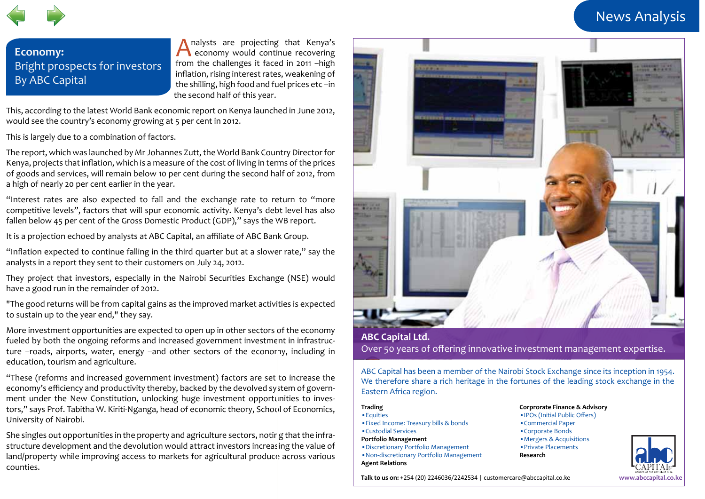# News Analysis



# **Economy:** Bright prospects for investors By ABC Capital

nalysts are projecting that Kenya's A economy would continue recovering from the challenges it faced in 2011 –high inflation, rising interest rates, weakening of the shilling, high food and fuel prices etc –in the second half of this year.

This, according to the latest World Bank economic report on Kenya launched in June 2012, would see the country's economy growing at 5 per cent in 2012.

This is largely due to a combination of factors.

The report, which was launched by Mr Johannes Zutt, the World Bank Country Director for Kenya, projects that inflation, which is a measure of the cost of living in terms of the prices of goods and services, will remain below 10 per cent during the second half of 2012, from a high of nearly 20 per cent earlier in the year.

"Interest rates are also expected to fall and the exchange rate to return to "more competitive levels", factors that will spur economic activity. Kenya's debt level has also fallen below 45 per cent of the Gross Domestic Product (GDP)," says the WB report.

It is a projection echoed by analysts at ABC Capital, an affiliate of ABC Bank Group.

"Inflation expected to continue falling in the third quarter but at a slower rate," say the analysts in a report they sent to their customers on July 24, 2012.

They project that investors, especially in the Nairobi Securities Exchange (NSE) would have a good run in the remainder of 2012.

"The good returns will be from capital gains as the improved market activities is expected to sustain up to the year end," they say.

More investment opportunities are expected to open up in other sectors of the economy fueled by both the ongoing reforms and increased government investment in infrastructure –roads, airports, water, energy –and other sectors of the economy, including in education, tourism and agriculture.

"These (reforms and increased government investment) factors are set to increase the economy's efficiency and productivity thereby, backed by the devolved system of government under the New Constitution, unlocking huge investment opportunities to investors," says Prof. Tabitha W. Kiriti-Nganga, head of economic theory, School of Economics, University of Nairobi.

She singles out opportunities in the property and agriculture sectors, noting that the infrastructure development and the devolution would attract investors increasing the value of land/property while improving access to markets for agricultural produce across various counties.



### **ABC Capital Ltd.** Over 50 years of offering innovative investment management expertise.

ABC Capital has been a member of the Nairobi Stock Exchange since its inception in 1954. We therefore share a rich heritage in the fortunes of the leading stock exchange in the Eastern Africa region.

### **Trading**

**Agent Relations**

- •Equities •Fixed Income: Treasury bills & bonds •Custodial Services **Portfolio Management** •Discretionary Portfolio Management •Non-discretionary Portfolio Management
	-

•IPOs (Initial Public Offers) •Commercial Paper •Corporate Bonds •Mergers & Acquisitions •Private Placements **Research**

**Corprorate Finance & Advisory**



**Talk to us on:** +254 (20) 2246036/2242534 | customercare@abccapital.co.ke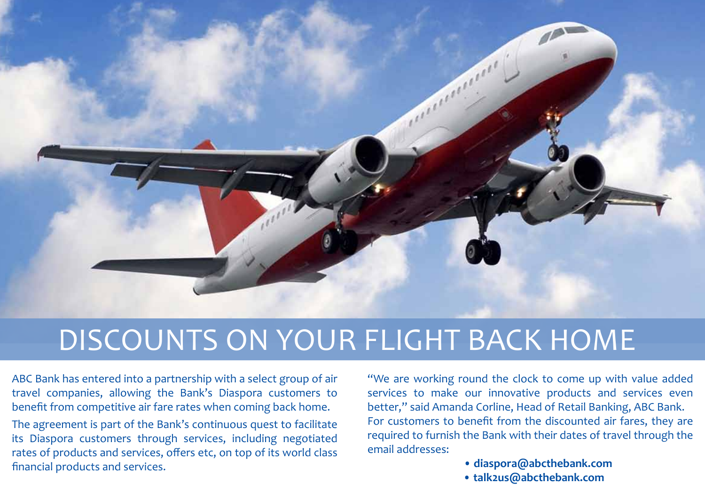

# DISCOUNTS ON YOUR FLIGHT BACK HOME

ABC Bank has entered into a partnership with a select group of air travel companies, allowing the Bank's Diaspora customers to benefit from competitive air fare rates when coming back home.

The agreement is part of the Bank's continuous quest to facilitate its Diaspora customers through services, including negotiated rates of products and services, offers etc, on top of its world class financial products and services.

"We are working round the clock to come up with value added services to make our innovative products and services even better," said Amanda Corline, Head of Retail Banking, ABC Bank. For customers to benefit from the discounted air fares, they are required to furnish the Bank with their dates of travel through the email addresses:

- **diaspora@abcthebank.com**
- **talk2us@abcthebank.com**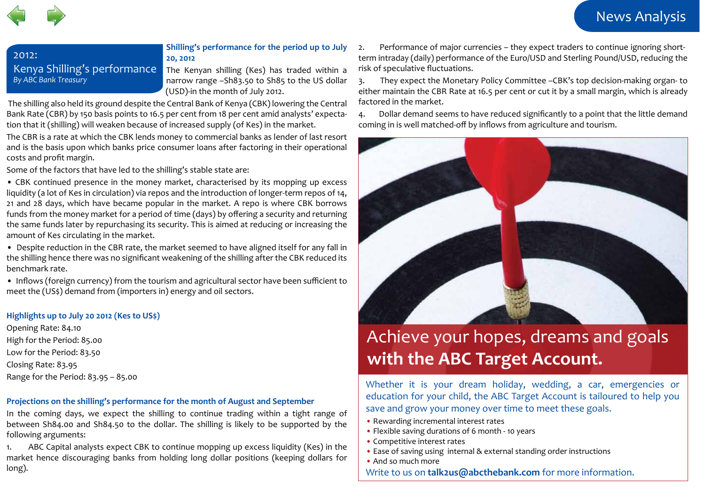

## 2012: Kenya Shilling's performance *By ABC Bank Treasury*

**Shilling's performance for the period up to July 20, 2012**

The Kenyan shilling (Kes) has traded within a narrow range –Sh83.50 to Sh85 to the US dollar (USD)-in the month of July 2012.

 The shilling also held its ground despite the Central Bank of Kenya (CBK) lowering the Central Bank Rate (CBR) by 150 basis points to 16.5 per cent from 18 per cent amid analysts' expectation that it (shilling) will weaken because of increased supply (of Kes) in the market.

The CBR is a rate at which the CBK lends money to commercial banks as lender of last resort and is the basis upon which banks price consumer loans after factoring in their operational costs and profit margin.

Some of the factors that have led to the shilling's stable state are:

• CBK continued presence in the money market, characterised by its mopping up excess liquidity (a lot of Kes in circulation) via repos and the introduction of longer-term repos of 14, 21 and 28 days, which have became popular in the market. A repo is where CBK borrows funds from the money market for a period of time (days) by offering a security and returning the same funds later by repurchasing its security. This is aimed at reducing or increasing the amount of Kes circulating in the market.

• Despite reduction in the CBR rate, the market seemed to have aligned itself for any fall in the shilling hence there was no significant weakening of the shilling after the CBK reduced its benchmark rate.

• Inflows (foreign currency) from the tourism and agricultural sector have been sufficient to meet the (US\$) demand from (importers in) energy and oil sectors.

### **Highlights up to July 20 2012 (Kes to US\$)**

Opening Rate: 84.10 High for the Period: 85.00 Low for the Period: 83.50 Closing Rate: 83.95 Range for the Period: 83.95 – 85.00

### **Projections on the shilling's performance for the month of August and September**

In the coming days, we expect the shilling to continue trading within a tight range of between Sh84.00 and Sh84.50 to the dollar. The shilling is likely to be supported by the following arguments:

1. ABC Capital analysts expect CBK to continue mopping up excess liquidity (Kes) in the market hence discouraging banks from holding long dollar positions (keeping dollars for long).

2. Performance of major currencies – they expect traders to continue ignoring shortterm intraday (daily) performance of the Euro/USD and Sterling Pound/USD, reducing the risk of speculative fluctuations.

3. They expect the Monetary Policy Committee –CBK's top decision-making organ- to either maintain the CBR Rate at 16.5 per cent or cut it by a small margin, which is already factored in the market.

4. Dollar demand seems to have reduced significantly to a point that the little demand coming in is well matched-off by inflows from agriculture and tourism.



# Achieve your hopes, dreams and goals **with the ABC Target Account.**

Whether it is your dream holiday, wedding, a car, emergencies or education for your child, the ABC Target Account is tailoured to help you save and grow your money over time to meet these goals.

- Rewarding incremental interest rates
- Flexible saving durations of 6 month 10 years
- Competitive interest rates
- Ease of saving using internal & external standing order instructions
- And so much more

Write to us on **talk2us@abcthebank.com** for more information.